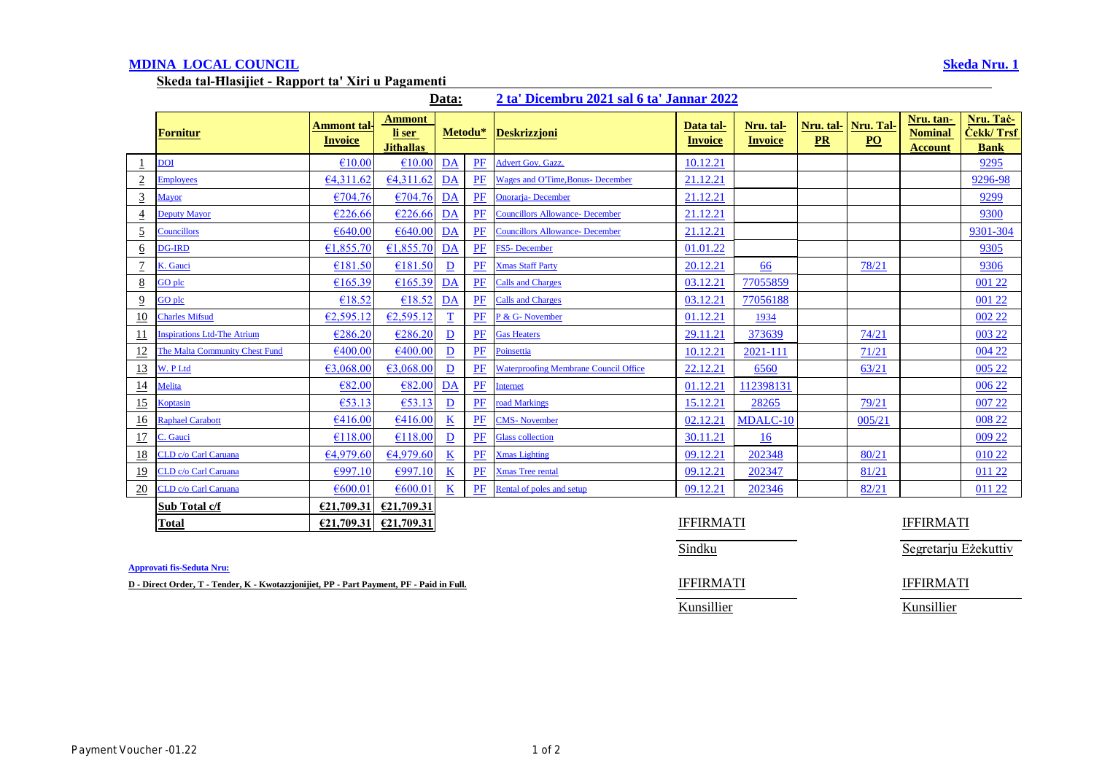# **MDINA LOCAL COUNCIL Skeda Nru. 1**

**Skeda tal-Ħlasijiet - Rapport ta' Xiri u Pagamenti** 

| Data: |  |  | 2 ta' Dicembru 2021 sal 6 ta' Jannar 2022 |  |
|-------|--|--|-------------------------------------------|--|
|       |  |  |                                           |  |

|                 | <b>Fornitur</b>                    | Ammont tal·l<br><b>Invoice</b> | <b>Ammont</b><br>li ser<br><b>Jithallas</b> | Metodu*                  |    | <b>Deskrizzjoni</b>                          | Data tal-<br>Invoice | Nru. tal-<br><b>Invoice</b> | Nru. tal-<br>PR | Nru. Tal-<br>$\underline{PO}$ | Nru. tan-<br><b>Nominal</b><br><b>Account</b> | Nru. Tač-<br><b>Cekk/Trsf</b><br><b>Bank</b> |
|-----------------|------------------------------------|--------------------------------|---------------------------------------------|--------------------------|----|----------------------------------------------|----------------------|-----------------------------|-----------------|-------------------------------|-----------------------------------------------|----------------------------------------------|
|                 | <b>DOI</b>                         | €10.00                         | €10.00                                      | $\underline{DA}$         | PF | <b>Advert Gov. Gazz.</b>                     | 10.12.21             |                             |                 |                               |                                               | 9295                                         |
| $\overline{2}$  | <b>Employees</b>                   | 64,311.62                      | 64,311.62                                   | DA                       | PF | <b>Wages and O'Time, Bonus- December</b>     | 21.12.21             |                             |                 |                               |                                               | 9296-98                                      |
| $\overline{3}$  | <u>Mayor</u>                       | €704.76                        | €704.76                                     | DA                       | PF | <b>Onorarja-</b> December                    | 21.12.21             |                             |                 |                               |                                               | 9299                                         |
| $\overline{4}$  | <b>Deputy Mayor</b>                | €226.66                        | €226.66                                     | DA                       | PF | <b>Councillors Allowance- December</b>       | 21.12.21             |                             |                 |                               |                                               | 9300                                         |
| $\overline{5}$  | <b>Councillors</b>                 | €640.00                        | €640.00                                     | DA                       | PF | <b>Councillors Allowance- December</b>       | 21.12.21             |                             |                 |                               |                                               | 9301-304                                     |
| $6\overline{6}$ | <b>DG-IRD</b>                      | €1,855.70                      | 61,855.70                                   | DA                       | PF | FS5-December                                 | 01.01.22             |                             |                 |                               |                                               | 9305                                         |
| $\overline{1}$  | K. Gauci                           | €181.50                        | €181.50                                     | $\mathbf{D}$             | PF | <b>Xmas Staff Party</b>                      | 20.12.21             | 66                          |                 | 78/21                         |                                               | 9306                                         |
| $\underline{8}$ | GO plc                             | €165.39                        | £165.39                                     | DA                       | PF | <b>Calls and Charges</b>                     | 03.12.21             | 77055859                    |                 |                               |                                               | 001 22                                       |
| $\overline{9}$  | GO plc                             | €18.52                         | €18.52                                      | DA                       | PF | <b>Calls and Charges</b>                     | 03.12.21             | 77056188                    |                 |                               |                                               | 001 22                                       |
| 10              | <b>Charles Mifsud</b>              | €2,595.12                      | €2,595.12                                   | $\overline{1}$           | PF | P & G- November                              | 01.12.21             | 1934                        |                 |                               |                                               | 002 22                                       |
| <u>11</u>       | <b>Inspirations Ltd-The Atrium</b> | €286.20                        | €286.20                                     | $\overline{D}$           | PF | <b>Gas Heaters</b>                           | 29.11.21             | 373639                      |                 | 74/21                         |                                               | 003 22                                       |
| <u>12</u>       | The Malta Community Chest Fund     | €400.00                        | €400.00                                     | $\mathbf{D}$             | PF | Poinsettia                                   | 10.12.21             | 2021-111                    |                 | 71/21                         |                                               | 004 22                                       |
| 13              | W. P Ltd                           | €3,068.00                      | 63,068.00                                   | $\mathbf{D}$             | PF | <b>Waterproofing Membrane Council Office</b> | 22.12.21             | 6560                        |                 | 63/21                         |                                               | 005 22                                       |
| <u>14</u>       | Melita                             | €82.00                         | €82.00                                      | DA                       | PF | Internet                                     | 01.12.21             | 112398131                   |                 |                               |                                               | 006 22                                       |
| 15              | Koptasin                           | €53.13                         | €53.13                                      | $\mathbf{D}$             | PF | road Markings                                | 15.12.21             | 28265                       |                 | 79/21                         |                                               | 007 22                                       |
| 16              | <b>Raphael Carabott</b>            | €416.00                        | €416.00                                     | $\underline{\mathbf{K}}$ | PF | <b>CMS-November</b>                          | 02.12.21             | MDALC-10                    |                 | 005/21                        |                                               | 008 22                                       |
| <u>17</u>       | C. Gauci                           | €118.00                        | €118.00                                     | $\mathbf{D}$             | PF | <b>Glass collection</b>                      | 30.11.21             | 16                          |                 |                               |                                               | 009 22                                       |
| <u>18</u>       | CLD c/o Carl Caruana               | 64.979.60                      | 64.979.60                                   | $\underline{\mathbf{K}}$ | PF | <b>Xmas Lighting</b>                         | 09.12.21             | 202348                      |                 | 80/21                         |                                               | 010 22                                       |
| <u>19</u>       | CLD c/o Carl Caruana               | $\epsilon$ 997.10              | €997.10                                     | $\underline{\mathbf{K}}$ | PF | <b>Xmas Tree rental</b>                      | 09.12.21             | 202347                      |                 | 81/21                         |                                               | 011 22                                       |
| 20              | CLD c/o Carl Caruana               | €600.01                        | €600.0                                      | K                        | PF | Rental of poles and setup                    | 09.12.21             | 202346                      |                 | 82/21                         |                                               | 011 22                                       |
|                 | Sub Total c/f                      | €21,709.3                      | €21,709.31                                  |                          |    |                                              |                      |                             |                 |                               |                                               |                                              |
|                 | <b>Total</b>                       | €21,709.31                     | €21,709.31                                  |                          |    |                                              | <b>IFFIRMATI</b>     |                             |                 |                               | <b>IFFIRMATI</b>                              |                                              |

**Approvati fis-Seduta Nru:**

**D** - Direct Order, T - Tender, K - Kwotazzjonijiet, PP - Part Payment, PF - Paid in Full. **IFFIRMATI** IFFIRMATI

Sindku Sindku Segretarju Eżekuttiv

Kunsillier Kunsillier

Payment Voucher -01.22 1 of 2